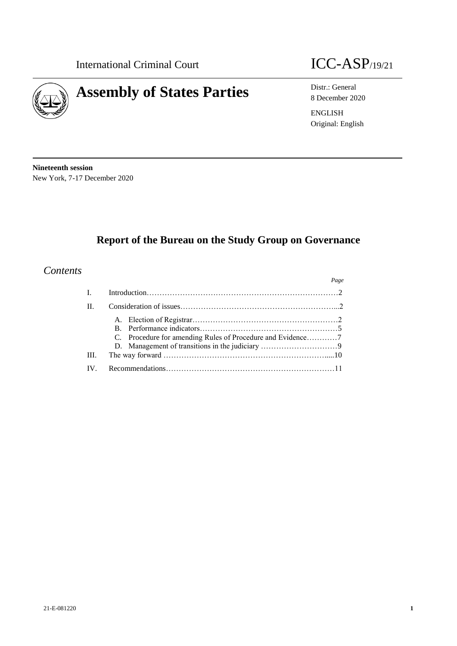

# **Assembly of States Parties** Distr.: General B Distr.: General

8 December 2020 ENGLISH Original: English

**Nineteenth session** New York, 7-17 December 2020

# **Report of the Bureau on the Study Group on Governance**

## *Contents*

|      | Page |
|------|------|
|      |      |
| H    |      |
| III. |      |
|      |      |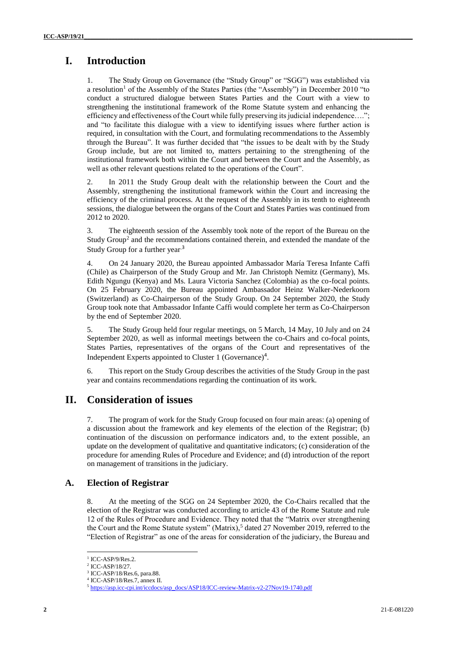# **I. Introduction**

1. The Study Group on Governance (the "Study Group" or "SGG") was established via a resolution<sup>1</sup> of the Assembly of the States Parties (the "Assembly") in December 2010 "to conduct a structured dialogue between States Parties and the Court with a view to strengthening the institutional framework of the Rome Statute system and enhancing the efficiency and effectiveness of the Court while fully preserving its judicial independence…."; and "to facilitate this dialogue with a view to identifying issues where further action is required, in consultation with the Court, and formulating recommendations to the Assembly through the Bureau". It was further decided that "the issues to be dealt with by the Study Group include, but are not limited to, matters pertaining to the strengthening of the institutional framework both within the Court and between the Court and the Assembly, as well as other relevant questions related to the operations of the Court".

2. In 2011 the Study Group dealt with the relationship between the Court and the Assembly, strengthening the institutional framework within the Court and increasing the efficiency of the criminal process. At the request of the Assembly in its tenth to eighteenth sessions, the dialogue between the organs of the Court and States Parties was continued from 2012 to 2020.

3. The eighteenth session of the Assembly took note of the report of the Bureau on the Study Group<sup>2</sup> and the recommendations contained therein, and extended the mandate of the Study Group for a further year.<sup>3</sup>

4. On 24 January 2020, the Bureau appointed Ambassador María Teresa Infante Caffi (Chile) as Chairperson of the Study Group and Mr. Jan Christoph Nemitz (Germany), Ms. Edith Ngungu (Kenya) and Ms. Laura Victoria Sanchez (Colombia) as the co-focal points. On 25 February 2020, the Bureau appointed Ambassador Heinz Walker-Nederkoorn (Switzerland) as Co-Chairperson of the Study Group. On 24 September 2020, the Study Group took note that Ambassador Infante Caffi would complete her term as Co-Chairperson by the end of September 2020.

5. The Study Group held four regular meetings, on 5 March, 14 May, 10 July and on 24 September 2020, as well as informal meetings between the co-Chairs and co-focal points, States Parties, representatives of the organs of the Court and representatives of the Independent Experts appointed to Cluster 1 (Governance)<sup>4</sup>.

6. This report on the Study Group describes the activities of the Study Group in the past year and contains recommendations regarding the continuation of its work.

# **II. Consideration of issues**

7. The program of work for the Study Group focused on four main areas: (a) opening of a discussion about the framework and key elements of the election of the Registrar; (b) continuation of the discussion on performance indicators and, to the extent possible, an update on the development of qualitative and quantitative indicators; (c) consideration of the procedure for amending Rules of Procedure and Evidence; and (d) introduction of the report on management of transitions in the judiciary.

#### **A. Election of Registrar**

8. At the meeting of the SGG on 24 September 2020, the Co-Chairs recalled that the election of the Registrar was conducted according to article 43 of the Rome Statute and rule 12 of the Rules of Procedure and Evidence. They noted that the "Matrix over strengthening the Court and the Rome Statute system" (Matrix),<sup>5</sup> dated 27 November 2019, referred to the "Election of Registrar" as one of the areas for consideration of the judiciary, the Bureau and

<sup>&</sup>lt;sup>1</sup> ICC-ASP/9/Res.2.

<sup>2</sup> ICC-ASP/18/27.

<sup>3</sup> ICC-ASP/18/Res.6, para.88.

<sup>4</sup> ICC-ASP/18/Res.7, annex II.

<sup>5</sup> [https://asp.icc-cpi.int/iccdocs/asp\\_docs/ASP18/ICC-review-Matrix-v2-27Nov19-1740.pdf](https://asp.icc-cpi.int/iccdocs/asp_docs/ASP18/ICC-review-Matrix-v2-27Nov19-1740.pdf)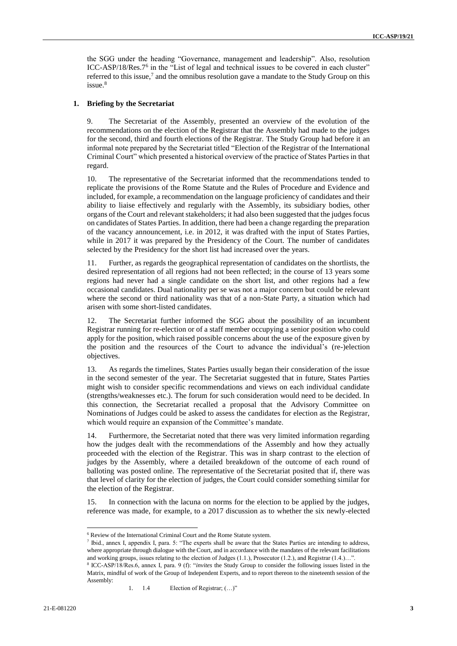the SGG under the heading "Governance, management and leadership". Also, resolution ICC-ASP/18/Res.7<sup>6</sup> in the "List of legal and technical issues to be covered in each cluster" referred to this issue,<sup>7</sup> and the omnibus resolution gave a mandate to the Study Group on this issue.<sup>8</sup>

#### **1. Briefing by the Secretariat**

9. The Secretariat of the Assembly, presented an overview of the evolution of the recommendations on the election of the Registrar that the Assembly had made to the judges for the second, third and fourth elections of the Registrar. The Study Group had before it an informal note prepared by the Secretariat titled "Election of the Registrar of the International Criminal Court" which presented a historical overview of the practice of States Parties in that regard.

10. The representative of the Secretariat informed that the recommendations tended to replicate the provisions of the Rome Statute and the Rules of Procedure and Evidence and included, for example, a recommendation on the language proficiency of candidates and their ability to liaise effectively and regularly with the Assembly, its subsidiary bodies, other organs of the Court and relevant stakeholders; it had also been suggested that the judges focus on candidates of States Parties. In addition, there had been a change regarding the preparation of the vacancy announcement, i.e. in 2012, it was drafted with the input of States Parties, while in 2017 it was prepared by the Presidency of the Court. The number of candidates selected by the Presidency for the short list had increased over the years.

11. Further, as regards the geographical representation of candidates on the shortlists, the desired representation of all regions had not been reflected; in the course of 13 years some regions had never had a single candidate on the short list, and other regions had a few occasional candidates. Dual nationality per se was not a major concern but could be relevant where the second or third nationality was that of a non-State Party, a situation which had arisen with some short-listed candidates.

12. The Secretariat further informed the SGG about the possibility of an incumbent Registrar running for re-election or of a staff member occupying a senior position who could apply for the position, which raised possible concerns about the use of the exposure given by the position and the resources of the Court to advance the individual's (re-)election objectives.

13. As regards the timelines, States Parties usually began their consideration of the issue in the second semester of the year. The Secretariat suggested that in future, States Parties might wish to consider specific recommendations and views on each individual candidate (strengths/weaknesses etc.). The forum for such consideration would need to be decided. In this connection, the Secretariat recalled a proposal that the Advisory Committee on Nominations of Judges could be asked to assess the candidates for election as the Registrar, which would require an expansion of the Committee's mandate.

14. Furthermore, the Secretariat noted that there was very limited information regarding how the judges dealt with the recommendations of the Assembly and how they actually proceeded with the election of the Registrar. This was in sharp contrast to the election of judges by the Assembly, where a detailed breakdown of the outcome of each round of balloting was posted online. The representative of the Secretariat posited that if, there was that level of clarity for the election of judges, the Court could consider something similar for the election of the Registrar.

15. In connection with the lacuna on norms for the election to be applied by the judges, reference was made, for example, to a 2017 discussion as to whether the six newly-elected

7 Ibid., annex I, appendix I, para. 5: "The experts shall be aware that the States Parties are intending to address, where appropriate through dialogue with the Court, and in accordance with the mandates of the relevant facilitations and working groups, issues relating to the election of Judges (1.1.), Prosecutor (1.2.), and Registrar (1.4.)…".

 $\overline{a}$ 

<sup>6</sup> Review of the International Criminal Court and the Rome Statute system.

<sup>8</sup> ICC-ASP/18/Res.6, annex I, para. 9 (f): "*invites* the Study Group to consider the following issues listed in the Matrix, mindful of work of the Group of Independent Experts, and to report thereon to the nineteenth session of the Assembly:

<sup>1.</sup> 1.4 Election of Registrar; (…)"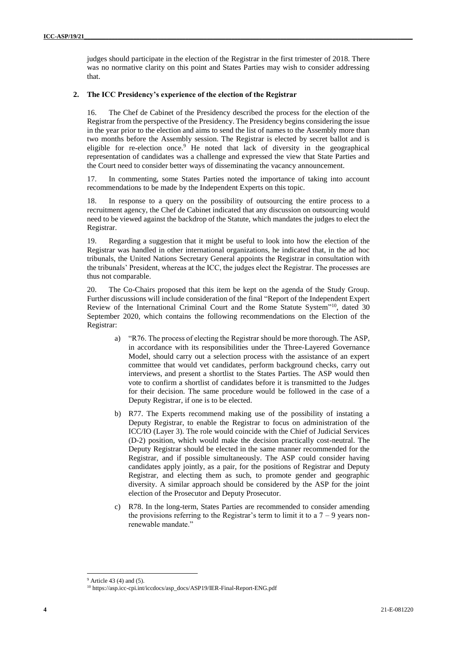judges should participate in the election of the Registrar in the first trimester of 2018. There was no normative clarity on this point and States Parties may wish to consider addressing that.

#### **2. The ICC Presidency's experience of the election of the Registrar**

16. The Chef de Cabinet of the Presidency described the process for the election of the Registrar from the perspective of the Presidency. The Presidency begins considering the issue in the year prior to the election and aims to send the list of names to the Assembly more than two months before the Assembly session. The Registrar is elected by secret ballot and is eligible for re-election once.<sup>9</sup> He noted that lack of diversity in the geographical representation of candidates was a challenge and expressed the view that State Parties and the Court need to consider better ways of disseminating the vacancy announcement.

17. In commenting, some States Parties noted the importance of taking into account recommendations to be made by the Independent Experts on this topic.

18. In response to a query on the possibility of outsourcing the entire process to a recruitment agency, the Chef de Cabinet indicated that any discussion on outsourcing would need to be viewed against the backdrop of the Statute, which mandates the judges to elect the Registrar.

19. Regarding a suggestion that it might be useful to look into how the election of the Registrar was handled in other international organizations, he indicated that, in the ad hoc tribunals, the United Nations Secretary General appoints the Registrar in consultation with the tribunals' President, whereas at the ICC, the judges elect the Registrar. The processes are thus not comparable.

20. The Co-Chairs proposed that this item be kept on the agenda of the Study Group. Further discussions will include consideration of the final "Report of the Independent Expert Review of the International Criminal Court and the Rome Statute System"<sup>10</sup>, dated 30 September 2020, which contains the following recommendations on the Election of the Registrar:

- a) "R76. The process of electing the Registrar should be more thorough. The ASP, in accordance with its responsibilities under the Three-Layered Governance Model, should carry out a selection process with the assistance of an expert committee that would vet candidates, perform background checks, carry out interviews, and present a shortlist to the States Parties. The ASP would then vote to confirm a shortlist of candidates before it is transmitted to the Judges for their decision. The same procedure would be followed in the case of a Deputy Registrar, if one is to be elected.
- b) R77. The Experts recommend making use of the possibility of instating a Deputy Registrar, to enable the Registrar to focus on administration of the ICC/IO (Layer 3). The role would coincide with the Chief of Judicial Services (D-2) position, which would make the decision practically cost-neutral. The Deputy Registrar should be elected in the same manner recommended for the Registrar, and if possible simultaneously. The ASP could consider having candidates apply jointly, as a pair, for the positions of Registrar and Deputy Registrar, and electing them as such, to promote gender and geographic diversity. A similar approach should be considered by the ASP for the joint election of the Prosecutor and Deputy Prosecutor.
- c) R78. In the long-term, States Parties are recommended to consider amending the provisions referring to the Registrar's term to limit it to a  $7 - 9$  years nonrenewable mandate."

 $9$  Article 43 (4) and (5).

<sup>10</sup> https://asp.icc-cpi.int/iccdocs/asp\_docs/ASP19/IER-Final-Report-ENG.pdf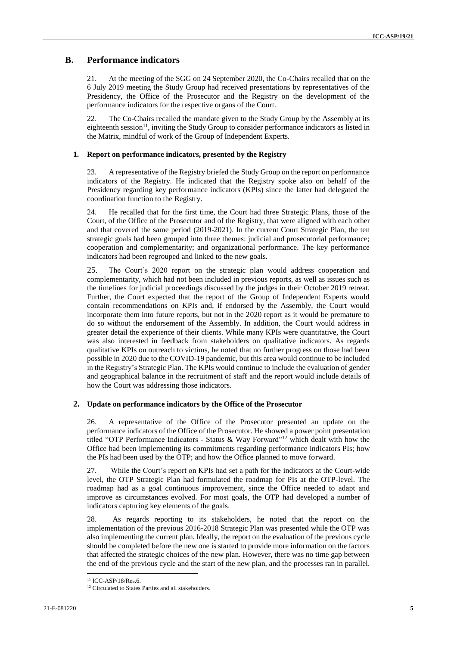#### **B. Performance indicators**

21. At the meeting of the SGG on 24 September 2020, the Co-Chairs recalled that on the 6 July 2019 meeting the Study Group had received presentations by representatives of the Presidency, the Office of the Prosecutor and the Registry on the development of the performance indicators for the respective organs of the Court.

22. The Co-Chairs recalled the mandate given to the Study Group by the Assembly at its eighteenth session<sup>11</sup>, inviting the Study Group to consider performance indicators as listed in the Matrix, mindful of work of the Group of Independent Experts.

#### **1. Report on performance indicators, presented by the Registry**

23. A representative of the Registry briefed the Study Group on the report on performance indicators of the Registry. He indicated that the Registry spoke also on behalf of the Presidency regarding key performance indicators (KPIs) since the latter had delegated the coordination function to the Registry.

24. He recalled that for the first time, the Court had three Strategic Plans, those of the Court, of the Office of the Prosecutor and of the Registry, that were aligned with each other and that covered the same period (2019-2021). In the current Court Strategic Plan, the ten strategic goals had been grouped into three themes: judicial and prosecutorial performance; cooperation and complementarity; and organizational performance. The key performance indicators had been regrouped and linked to the new goals.

25. The Court's 2020 report on the strategic plan would address cooperation and complementarity, which had not been included in previous reports, as well as issues such as the timelines for judicial proceedings discussed by the judges in their October 2019 retreat. Further, the Court expected that the report of the Group of Independent Experts would contain recommendations on KPIs and, if endorsed by the Assembly, the Court would incorporate them into future reports, but not in the 2020 report as it would be premature to do so without the endorsement of the Assembly. In addition, the Court would address in greater detail the experience of their clients. While many KPIs were quantitative, the Court was also interested in feedback from stakeholders on qualitative indicators. As regards qualitative KPIs on outreach to victims, he noted that no further progress on those had been possible in 2020 due to the COVID-19 pandemic, but this area would continue to be included in the Registry's Strategic Plan. The KPIs would continue to include the evaluation of gender and geographical balance in the recruitment of staff and the report would include details of how the Court was addressing those indicators.

#### **2. Update on performance indicators by the Office of the Prosecutor**

26. A representative of the Office of the Prosecutor presented an update on the performance indicators of the Office of the Prosecutor. He showed a power point presentation titled "OTP Performance Indicators - Status & Way Forward"<sup>12</sup> which dealt with how the Office had been implementing its commitments regarding performance indicators PIs; how the PIs had been used by the OTP; and how the Office planned to move forward.

27. While the Court's report on KPIs had set a path for the indicators at the Court-wide level, the OTP Strategic Plan had formulated the roadmap for PIs at the OTP-level. The roadmap had as a goal continuous improvement, since the Office needed to adapt and improve as circumstances evolved. For most goals, the OTP had developed a number of indicators capturing key elements of the goals.

28. As regards reporting to its stakeholders, he noted that the report on the implementation of the previous 2016-2018 Strategic Plan was presented while the OTP was also implementing the current plan. Ideally, the report on the evaluation of the previous cycle should be completed before the new one is started to provide more information on the factors that affected the strategic choices of the new plan. However, there was no time gap between the end of the previous cycle and the start of the new plan, and the processes ran in parallel.

 $11$  ICC-ASP/18/Res.6.

<sup>&</sup>lt;sup>12</sup> Circulated to States Parties and all stakeholders.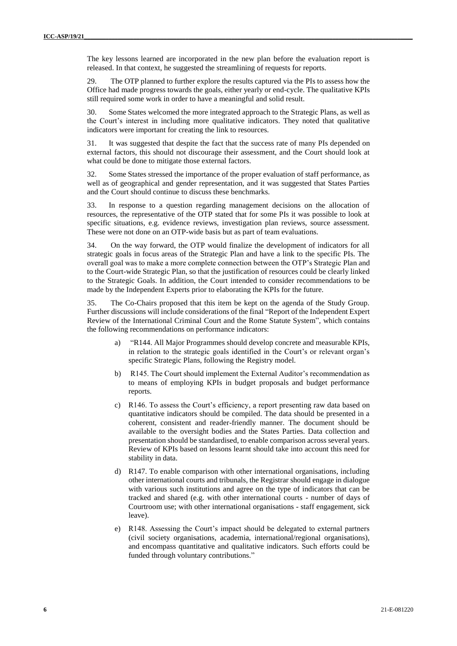The key lessons learned are incorporated in the new plan before the evaluation report is released. In that context, he suggested the streamlining of requests for reports.

29. The OTP planned to further explore the results captured via the PIs to assess how the Office had made progress towards the goals, either yearly or end-cycle. The qualitative KPIs still required some work in order to have a meaningful and solid result.

30. Some States welcomed the more integrated approach to the Strategic Plans, as well as the Court's interest in including more qualitative indicators. They noted that qualitative indicators were important for creating the link to resources.

31. It was suggested that despite the fact that the success rate of many PIs depended on external factors, this should not discourage their assessment, and the Court should look at what could be done to mitigate those external factors.

32. Some States stressed the importance of the proper evaluation of staff performance, as well as of geographical and gender representation, and it was suggested that States Parties and the Court should continue to discuss these benchmarks.

33. In response to a question regarding management decisions on the allocation of resources, the representative of the OTP stated that for some PIs it was possible to look at specific situations, e.g. evidence reviews, investigation plan reviews, source assessment. These were not done on an OTP-wide basis but as part of team evaluations.

34. On the way forward, the OTP would finalize the development of indicators for all strategic goals in focus areas of the Strategic Plan and have a link to the specific PIs. The overall goal was to make a more complete connection between the OTP's Strategic Plan and to the Court-wide Strategic Plan, so that the justification of resources could be clearly linked to the Strategic Goals. In addition, the Court intended to consider recommendations to be made by the Independent Experts prior to elaborating the KPIs for the future.

35. The Co-Chairs proposed that this item be kept on the agenda of the Study Group. Further discussions will include considerations of the final "Report of the Independent Expert Review of the International Criminal Court and the Rome Statute System", which contains the following recommendations on performance indicators:

- a) "R144. All Major Programmes should develop concrete and measurable KPIs, in relation to the strategic goals identified in the Court's or relevant organ's specific Strategic Plans, following the Registry model.
- b) R145. The Court should implement the External Auditor's recommendation as to means of employing KPIs in budget proposals and budget performance reports.
- c) R146. To assess the Court's efficiency, a report presenting raw data based on quantitative indicators should be compiled. The data should be presented in a coherent, consistent and reader-friendly manner. The document should be available to the oversight bodies and the States Parties. Data collection and presentation should be standardised, to enable comparison across several years. Review of KPIs based on lessons learnt should take into account this need for stability in data.
- d) R147. To enable comparison with other international organisations, including other international courts and tribunals, the Registrar should engage in dialogue with various such institutions and agree on the type of indicators that can be tracked and shared (e.g. with other international courts - number of days of Courtroom use; with other international organisations - staff engagement, sick leave).
- e) R148. Assessing the Court's impact should be delegated to external partners (civil society organisations, academia, international/regional organisations), and encompass quantitative and qualitative indicators. Such efforts could be funded through voluntary contributions."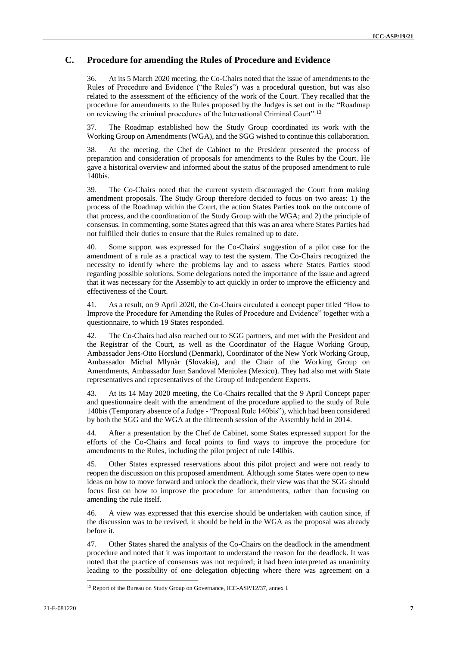#### **C. Procedure for amending the Rules of Procedure and Evidence**

36. At its 5 March 2020 meeting, the Co-Chairs noted that the issue of amendments to the Rules of Procedure and Evidence ("the Rules") was a procedural question, but was also related to the assessment of the efficiency of the work of the Court. They recalled that the procedure for amendments to the Rules proposed by the Judges is set out in the "Roadmap on reviewing the criminal procedures of the International Criminal Court".<sup>13</sup>

37. The Roadmap established how the Study Group coordinated its work with the Working Group on Amendments (WGA), and the SGG wished to continue this collaboration.

38. At the meeting, the Chef de Cabinet to the President presented the process of preparation and consideration of proposals for amendments to the Rules by the Court. He gave a historical overview and informed about the status of the proposed amendment to rule 140bis.

39. The Co-Chairs noted that the current system discouraged the Court from making amendment proposals. The Study Group therefore decided to focus on two areas: 1) the process of the Roadmap within the Court, the action States Parties took on the outcome of that process, and the coordination of the Study Group with the WGA; and 2) the principle of consensus. In commenting, some States agreed that this was an area where States Parties had not fulfilled their duties to ensure that the Rules remained up to date.

40. Some support was expressed for the Co-Chairs' suggestion of a pilot case for the amendment of a rule as a practical way to test the system. The Co-Chairs recognized the necessity to identify where the problems lay and to assess where States Parties stood regarding possible solutions. Some delegations noted the importance of the issue and agreed that it was necessary for the Assembly to act quickly in order to improve the efficiency and effectiveness of the Court.

41. As a result, on 9 April 2020, the Co-Chairs circulated a concept paper titled "How to Improve the Procedure for Amending the Rules of Procedure and Evidence" together with a questionnaire, to which 19 States responded.

42. The Co-Chairs had also reached out to SGG partners, and met with the President and the Registrar of the Court, as well as the Coordinator of the Hague Working Group, Ambassador Jens-Otto Horslund (Denmark), Coordinator of the New York Working Group, Ambassador Michal Mlynàr (Slovakia), and the Chair of the Working Group on Amendments, Ambassador Juan Sandoval Meniolea (Mexico). They had also met with State representatives and representatives of the Group of Independent Experts.

43. At its 14 May 2020 meeting, the Co-Chairs recalled that the 9 April Concept paper and questionnaire dealt with the amendment of the procedure applied to the study of Rule 140bis (Temporary absence of a Judge - "Proposal Rule 140bis"), which had been considered by both the SGG and the WGA at the thirteenth session of the Assembly held in 2014.

44. After a presentation by the Chef de Cabinet, some States expressed support for the efforts of the Co-Chairs and focal points to find ways to improve the procedure for amendments to the Rules, including the pilot project of rule 140bis.

45. Other States expressed reservations about this pilot project and were not ready to reopen the discussion on this proposed amendment. Although some States were open to new ideas on how to move forward and unlock the deadlock, their view was that the SGG should focus first on how to improve the procedure for amendments, rather than focusing on amending the rule itself.

46. A view was expressed that this exercise should be undertaken with caution since, if the discussion was to be revived, it should be held in the WGA as the proposal was already before it.

47. Other States shared the analysis of the Co-Chairs on the deadlock in the amendment procedure and noted that it was important to understand the reason for the deadlock. It was noted that the practice of consensus was not required; it had been interpreted as unanimity leading to the possibility of one delegation objecting where there was agreement on a

 $\overline{a}$ 

<sup>&</sup>lt;sup>13</sup> Report of the Bureau on Study Group on Governance, ICC-ASP/12/37, annex I.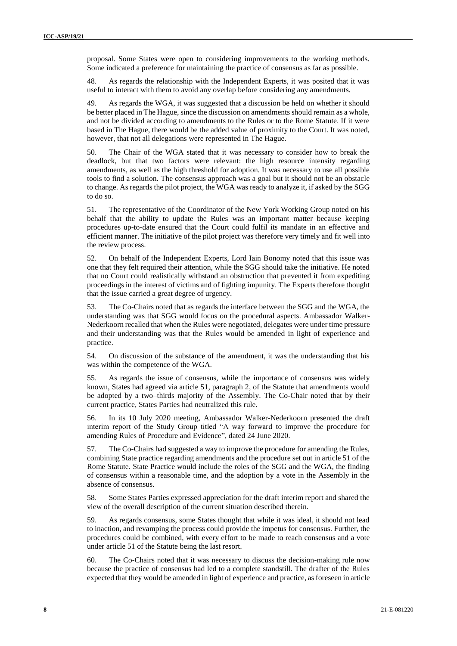proposal. Some States were open to considering improvements to the working methods. Some indicated a preference for maintaining the practice of consensus as far as possible.

48. As regards the relationship with the Independent Experts, it was posited that it was useful to interact with them to avoid any overlap before considering any amendments.

49. As regards the WGA, it was suggested that a discussion be held on whether it should be better placed in The Hague, since the discussion on amendments should remain as a whole, and not be divided according to amendments to the Rules or to the Rome Statute. If it were based in The Hague, there would be the added value of proximity to the Court. It was noted, however, that not all delegations were represented in The Hague.

50. The Chair of the WGA stated that it was necessary to consider how to break the deadlock, but that two factors were relevant: the high resource intensity regarding amendments, as well as the high threshold for adoption. It was necessary to use all possible tools to find a solution. The consensus approach was a goal but it should not be an obstacle to change. As regards the pilot project, the WGA was ready to analyze it, if asked by the SGG to do so.

51. The representative of the Coordinator of the New York Working Group noted on his behalf that the ability to update the Rules was an important matter because keeping procedures up-to-date ensured that the Court could fulfil its mandate in an effective and efficient manner. The initiative of the pilot project was therefore very timely and fit well into the review process.

52. On behalf of the Independent Experts, Lord Iain Bonomy noted that this issue was one that they felt required their attention, while the SGG should take the initiative. He noted that no Court could realistically withstand an obstruction that prevented it from expediting proceedings in the interest of victims and of fighting impunity. The Experts therefore thought that the issue carried a great degree of urgency.

53. The Co-Chairs noted that as regards the interface between the SGG and the WGA, the understanding was that SGG would focus on the procedural aspects. Ambassador Walker-Nederkoorn recalled that when the Rules were negotiated, delegates were under time pressure and their understanding was that the Rules would be amended in light of experience and practice.

54. On discussion of the substance of the amendment, it was the understanding that his was within the competence of the WGA.

55. As regards the issue of consensus, while the importance of consensus was widely known, States had agreed via article 51, paragraph 2, of the Statute that amendments would be adopted by a two–thirds majority of the Assembly. The Co-Chair noted that by their current practice, States Parties had neutralized this rule.

56. In its 10 July 2020 meeting, Ambassador Walker-Nederkoorn presented the draft interim report of the Study Group titled "A way forward to improve the procedure for amending Rules of Procedure and Evidence", dated 24 June 2020.

57. The Co-Chairs had suggested a way to improve the procedure for amending the Rules, combining State practice regarding amendments and the procedure set out in article 51 of the Rome Statute. State Practice would include the roles of the SGG and the WGA, the finding of consensus within a reasonable time, and the adoption by a vote in the Assembly in the absence of consensus.

58. Some States Parties expressed appreciation for the draft interim report and shared the view of the overall description of the current situation described therein.

59. As regards consensus, some States thought that while it was ideal, it should not lead to inaction, and revamping the process could provide the impetus for consensus. Further, the procedures could be combined, with every effort to be made to reach consensus and a vote under article 51 of the Statute being the last resort.

60. The Co-Chairs noted that it was necessary to discuss the decision-making rule now because the practice of consensus had led to a complete standstill. The drafter of the Rules expected that they would be amended in light of experience and practice, as foreseen in article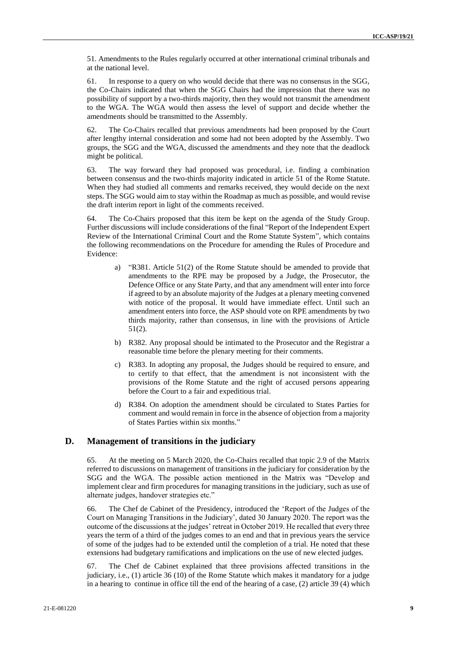51. Amendments to the Rules regularly occurred at other international criminal tribunals and at the national level.

61. In response to a query on who would decide that there was no consensus in the SGG, the Co-Chairs indicated that when the SGG Chairs had the impression that there was no possibility of support by a two-thirds majority, then they would not transmit the amendment to the WGA. The WGA would then assess the level of support and decide whether the amendments should be transmitted to the Assembly.

62. The Co-Chairs recalled that previous amendments had been proposed by the Court after lengthy internal consideration and some had not been adopted by the Assembly. Two groups, the SGG and the WGA, discussed the amendments and they note that the deadlock might be political.

63. The way forward they had proposed was procedural, i.e. finding a combination between consensus and the two-thirds majority indicated in article 51 of the Rome Statute. When they had studied all comments and remarks received, they would decide on the next steps. The SGG would aim to stay within the Roadmap as much as possible, and would revise the draft interim report in light of the comments received.

64. The Co-Chairs proposed that this item be kept on the agenda of the Study Group. Further discussions will include considerations of the final "Report of the Independent Expert Review of the International Criminal Court and the Rome Statute System", which contains the following recommendations on the Procedure for amending the Rules of Procedure and Evidence:

- a) "R381. Article 51(2) of the Rome Statute should be amended to provide that amendments to the RPE may be proposed by a Judge, the Prosecutor, the Defence Office or any State Party, and that any amendment will enter into force if agreed to by an absolute majority of the Judges at a plenary meeting convened with notice of the proposal. It would have immediate effect. Until such an amendment enters into force, the ASP should vote on RPE amendments by two thirds majority, rather than consensus, in line with the provisions of Article 51(2).
- b) R382. Any proposal should be intimated to the Prosecutor and the Registrar a reasonable time before the plenary meeting for their comments.
- c) R383. In adopting any proposal, the Judges should be required to ensure, and to certify to that effect, that the amendment is not inconsistent with the provisions of the Rome Statute and the right of accused persons appearing before the Court to a fair and expeditious trial.
- d) R384. On adoption the amendment should be circulated to States Parties for comment and would remain in force in the absence of objection from a majority of States Parties within six months."

#### **D. Management of transitions in the judiciary**

65. At the meeting on 5 March 2020, the Co-Chairs recalled that topic 2.9 of the Matrix referred to discussions on management of transitions in the judiciary for consideration by the SGG and the WGA. The possible action mentioned in the Matrix was "Develop and implement clear and firm procedures for managing transitions in the judiciary, such as use of alternate judges, handover strategies etc."

66. The Chef de Cabinet of the Presidency, introduced the 'Report of the Judges of the Court on Managing Transitions in the Judiciary', dated 30 January 2020. The report was the outcome of the discussions at the judges' retreat in October 2019. He recalled that every three years the term of a third of the judges comes to an end and that in previous years the service of some of the judges had to be extended until the completion of a trial. He noted that these extensions had budgetary ramifications and implications on the use of new elected judges.

67. The Chef de Cabinet explained that three provisions affected transitions in the judiciary, i.e., (1) article 36 (10) of the Rome Statute which makes it mandatory for a judge in a hearing to continue in office till the end of the hearing of a case, (2) article 39 (4) which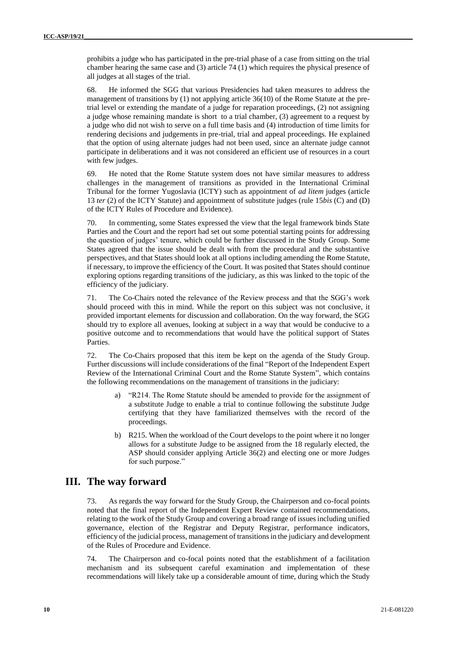prohibits a judge who has participated in the pre-trial phase of a case from sitting on the trial chamber hearing the same case and (3) article 74 (1) which requires the physical presence of all judges at all stages of the trial.

68. He informed the SGG that various Presidencies had taken measures to address the management of transitions by (1) not applying article 36(10) of the Rome Statute at the pretrial level or extending the mandate of a judge for reparation proceedings, (2) not assigning a judge whose remaining mandate is short to a trial chamber, (3) agreement to a request by a judge who did not wish to serve on a full time basis and (4) introduction of time limits for rendering decisions and judgements in pre-trial, trial and appeal proceedings. He explained that the option of using alternate judges had not been used, since an alternate judge cannot participate in deliberations and it was not considered an efficient use of resources in a court with few judges.

69. He noted that the Rome Statute system does not have similar measures to address challenges in the management of transitions as provided in the International Criminal Tribunal for the former Yugoslavia (ICTY) such as appointment of *ad litem* judges (article 13 *ter* (2) of the ICTY Statute) and appointment of substitute judges (rule 15*bis* (C) and (D) of the ICTY Rules of Procedure and Evidence).

70. In commenting, some States expressed the view that the legal framework binds State Parties and the Court and the report had set out some potential starting points for addressing the question of judges' tenure, which could be further discussed in the Study Group. Some States agreed that the issue should be dealt with from the procedural and the substantive perspectives, and that States should look at all options including amending the Rome Statute, if necessary, to improve the efficiency of the Court. It was posited that States should continue exploring options regarding transitions of the judiciary, as this was linked to the topic of the efficiency of the judiciary.

71. The Co-Chairs noted the relevance of the Review process and that the SGG's work should proceed with this in mind. While the report on this subject was not conclusive, it provided important elements for discussion and collaboration. On the way forward, the SGG should try to explore all avenues, looking at subject in a way that would be conducive to a positive outcome and to recommendations that would have the political support of States Parties.

72. The Co-Chairs proposed that this item be kept on the agenda of the Study Group. Further discussions will include considerations of the final "Report of the Independent Expert Review of the International Criminal Court and the Rome Statute System", which contains the following recommendations on the management of transitions in the judiciary:

- a) "R214. The Rome Statute should be amended to provide for the assignment of a substitute Judge to enable a trial to continue following the substitute Judge certifying that they have familiarized themselves with the record of the proceedings.
- b) R215. When the workload of the Court develops to the point where it no longer allows for a substitute Judge to be assigned from the 18 regularly elected, the ASP should consider applying Article 36(2) and electing one or more Judges for such purpose."

### **III. The way forward**

73. As regards the way forward for the Study Group, the Chairperson and co-focal points noted that the final report of the Independent Expert Review contained recommendations, relating to the work of the Study Group and covering a broad range of issues including unified governance, election of the Registrar and Deputy Registrar, performance indicators, efficiency of the judicial process, management of transitions in the judiciary and development of the Rules of Procedure and Evidence.

74. The Chairperson and co-focal points noted that the establishment of a facilitation mechanism and its subsequent careful examination and implementation of these recommendations will likely take up a considerable amount of time, during which the Study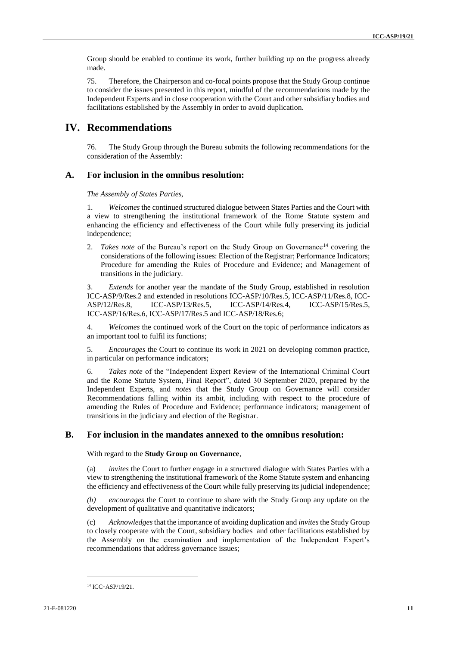Group should be enabled to continue its work, further building up on the progress already made.

75. Therefore, the Chairperson and co-focal points propose that the Study Group continue to consider the issues presented in this report, mindful of the recommendations made by the Independent Experts and in close cooperation with the Court and other subsidiary bodies and facilitations established by the Assembly in order to avoid duplication.

### **IV. Recommendations**

76. The Study Group through the Bureau submits the following recommendations for the consideration of the Assembly:

#### **A. For inclusion in the omnibus resolution:**

*The Assembly of States Parties,*

1. *Welcomes* the continued structured dialogue between States Parties and the Court with a view to strengthening the institutional framework of the Rome Statute system and enhancing the efficiency and effectiveness of the Court while fully preserving its judicial independence;

2. *Takes note* of the Bureau's report on the Study Group on Governance<sup>14</sup> covering the considerations of the following issues: Election of the Registrar; Performance Indicators; Procedure for amending the Rules of Procedure and Evidence; and Management of transitions in the judiciary.

3. *Extends* for another year the mandate of the Study Group, established in resolution ICC-ASP/9/Res.2 and extended in resolutions ICC-ASP/10/Res.5, ICC-ASP/11/Res.8, ICC-ASP/12/Res.8, ICC-ASP/13/Res.5, ICC-ASP/14/Res.4, ICC-ASP/15/Res.5, ICC‑ASP/16/Res.6, ICC-ASP/17/Res.5 and ICC-ASP/18/Res.6;

4. *Welcomes* the continued work of the Court on the topic of performance indicators as an important tool to fulfil its functions;

5. *Encourages* the Court to continue its work in 2021 on developing common practice, in particular on performance indicators;

6. *Takes note* of the "Independent Expert Review of the International Criminal Court and the Rome Statute System, Final Report", dated 30 September 2020, prepared by the Independent Experts, and *notes* that the Study Group on Governance will consider Recommendations falling within its ambit, including with respect to the procedure of amending the Rules of Procedure and Evidence; performance indicators; management of transitions in the judiciary and election of the Registrar.

#### **B. For inclusion in the mandates annexed to the omnibus resolution:**

With regard to the **Study Group on Governance**,

(a) *invites* the Court to further engage in a structured dialogue with States Parties with a view to strengthening the institutional framework of the Rome Statute system and enhancing the efficiency and effectiveness of the Court while fully preserving its judicial independence;

*(b) encourages* the Court to continue to share with the Study Group any update on the development of qualitative and quantitative indicators;

(c) *Acknowledges* that the importance of avoiding duplication and *invites* the Study Group to closely cooperate with the Court, subsidiary bodies and other facilitations established by the Assembly on the examination and implementation of the Independent Expert's recommendations that address governance issues;

-

<sup>&</sup>lt;sup>14</sup> ICC-ASP/19/21.